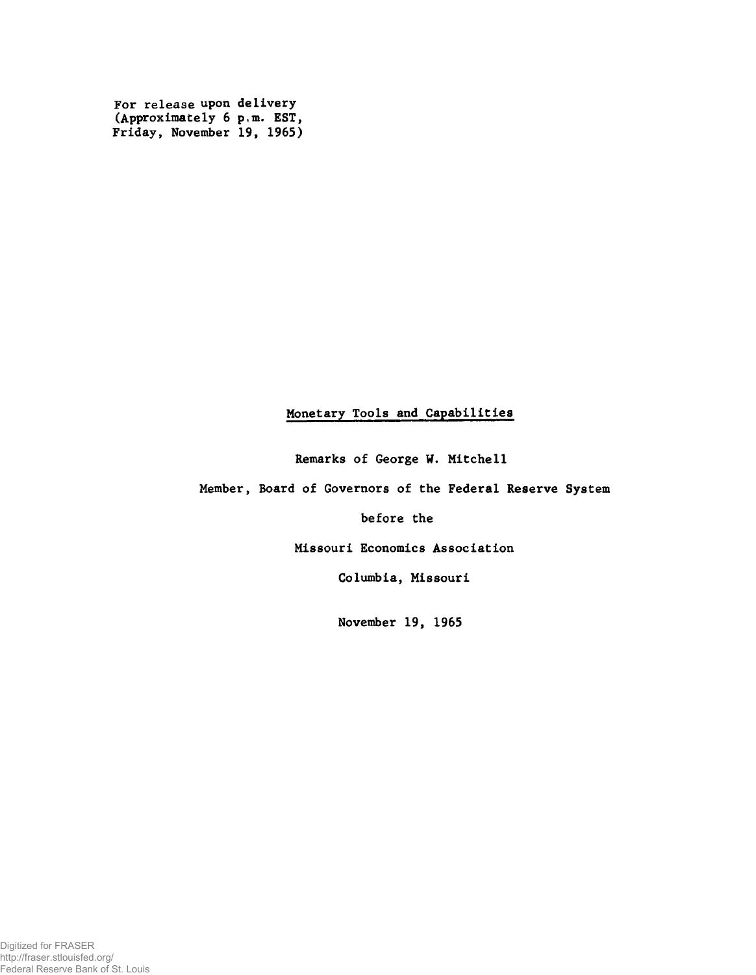For release upon delivery (Approximately 6 p.m. EST, Friday, November 19, 1965)

# Monetary Tools and Capabilities

Remarks of George W. Mitchell

Member, Board of Governors of the Federal Reserve System

before the

Missouri Economics Association

Columbia, Missouri

November 19, 1965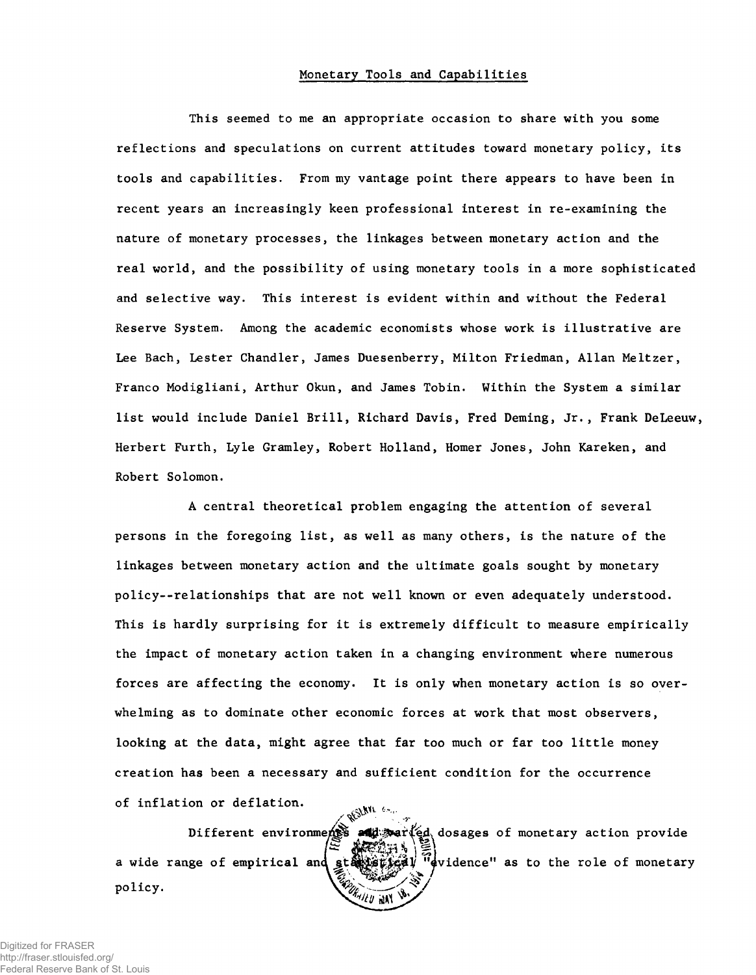### Monetary Tools and Capabilities

This seemed to me an appropriate occasion to share with you some reflections and speculations on current attitudes toward monetary policy, its tools and capabilities. From my vantage point there appears to have been in recent years an increasingly keen professional interest in re-examining the nature of monetary processes, the linkages between monetary action and the real world, and the possibility of using monetary tools in a more sophisticated and selective way. This interest is evident within and without the Federal Reserve System. Among the academic economists whose work is illustrative are Lee Bach, Lester Chandler, James Duesenberry, Milton Friedman, Allan Meltzer, Franco Modigliani, Arthur Okun, and James Tobin. Within the System a similar list would include Daniel Brill, Richard Davis, Fred Deming, Jr., Frank DeLeeuw, Herbert Furth, Lyle Gramley, Robert Holland, Homer Jones, John Kareken, and Robert Solomon.

A central theoretical problem engaging the attention of several persons in the foregoing list, as well as many others, is the nature of the linkages between monetary action and the ultimate goals sought by monetary policy--relationships that are not well known or even adequately understood. This is hardly surprising for it is extremely difficult to measure empirically the impact of monetary action taken in a changing environment where numerous forces are affecting the economy. It is only when monetary action is so overwhelming as to dominate other economic forces at work that most observers, looking at the data, might agree that far too much or far too little money creation has been a necessary and sufficient condition for the occurrence of inflation or deflation.  $\frac{1}{2}$   $\frac{1}{2}$ 

Different environments war(ed dosages of monetary action provide a wide range of empirical and  $\mathbb{R}$   $\mathbb{V}$   $\mathbb{V}$  widence" as to the role of monetary policy.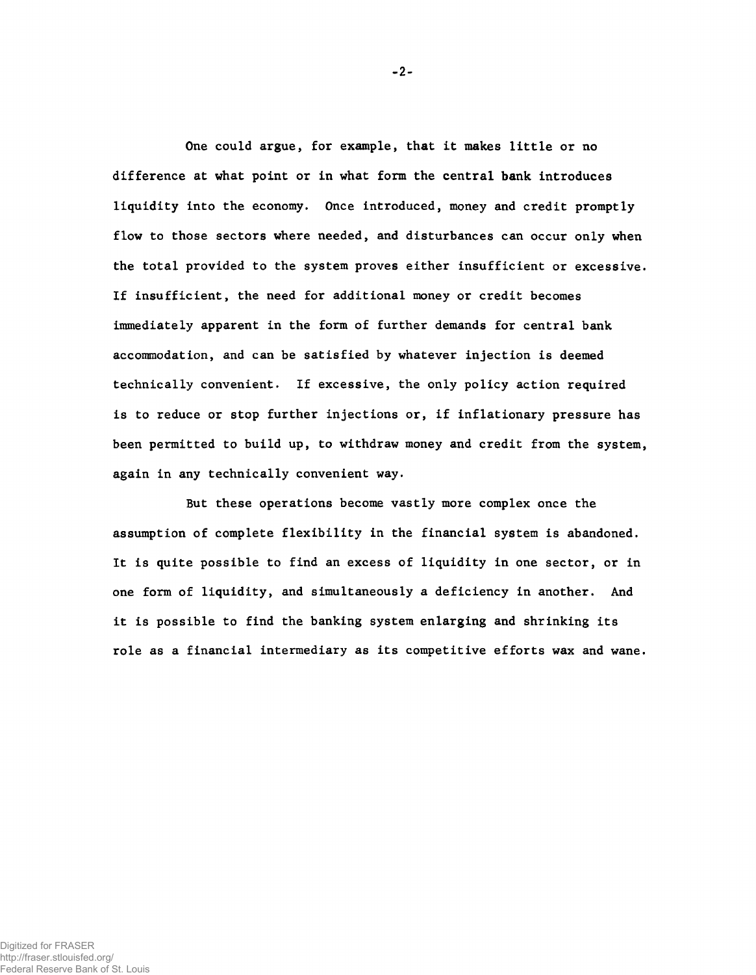One could argue, for example, that it makes little or no difference at what point or in what form the central bank introduces liquidity into the economy. Once introduced, money and credit promptly flow to those sectors where needed, and disturbances can occur only when the total provided to the system proves either insufficient or excessive. If insufficient, the need for additional money or credit becomes immediately apparent in the form of further demands for central bank accommodation, and can be satisfied by whatever injection is deemed technically convenient. If excessive, the only policy action required is to reduce or stop further injections or, if inflationary pressure has been permitted to build up, to withdraw money and credit from the system, again in any technically convenient way.

But these operations become vastly more complex once the assumption of complete flexibility in the financial system is abandoned. It is quite possible to find an excess of liquidity in one sector, or in one form of liquidity, and simultaneously a deficiency in another. And it is possible to find the banking system enlarging and shrinking its role as a financial intermediary as its competitive efforts wax and wane.

-2-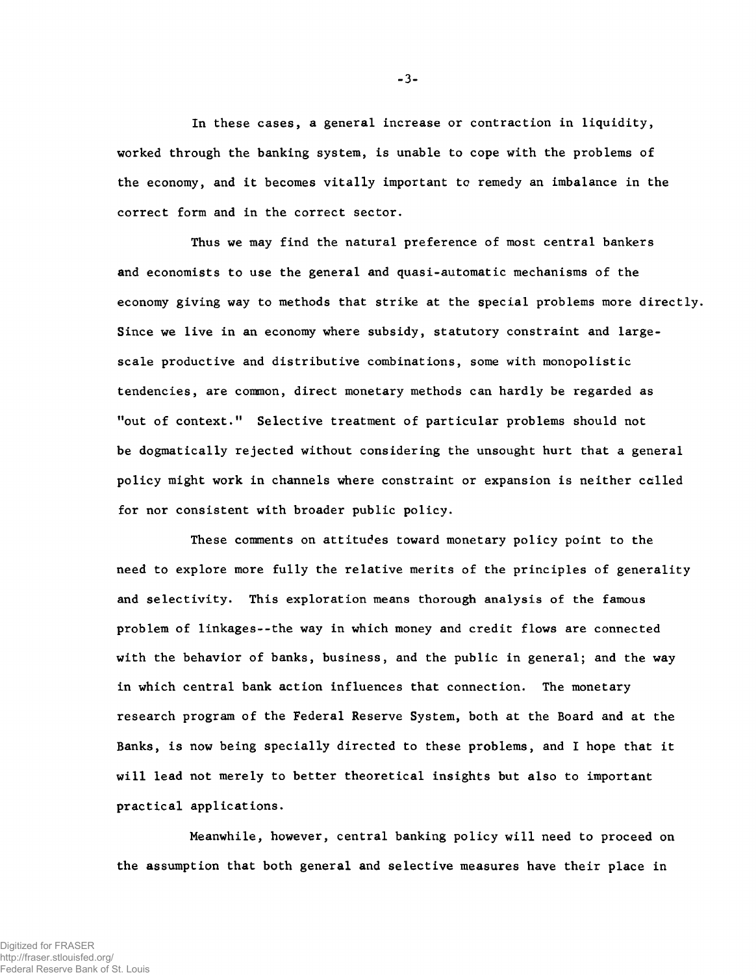In these cases, a general increase or contraction in liquidity, worked through the banking system, is unable to cope with the problems of the economy, and it becomes vitally important to remedy an imbalance in the correct form and in the correct sector.

Thus we may find the natural preference of most central bankers and economists to use the general and quasi-automatic mechanisms of the economy giving way to methods that strike at the special problems more directly. Since we live in an economy where subsidy, statutory constraint and largescale productive and distributive combinations, some with monopolistic tendencies, are common, direct monetary methods can hardly be regarded as "out of context." Selective treatment of particular problems should not be dogmatically rejected without considering the unsought hurt that a general policy might work in channels where constraint or expansion is neither called for nor consistent with broader public policy.

These comments on attitudes toward monetary policy point to the need to explore more fully the relative merits of the principles of generality and selectivity. This exploration means thorough analysis of the famous problem of linkages--the way in which money and credit flows are connected with the behavior of banks, business, and the public in general; and the way in which central bank action influences that connection. The monetary research program of the Federal Reserve System, both at the Board and at the Banks, is now being specially directed to these problems, and I hope that it will lead not merely to better theoretical insights but also to important practical applications.

Meanwhile, however, central banking policy will need to proceed on the assumption that both general and selective measures have their place in

-3-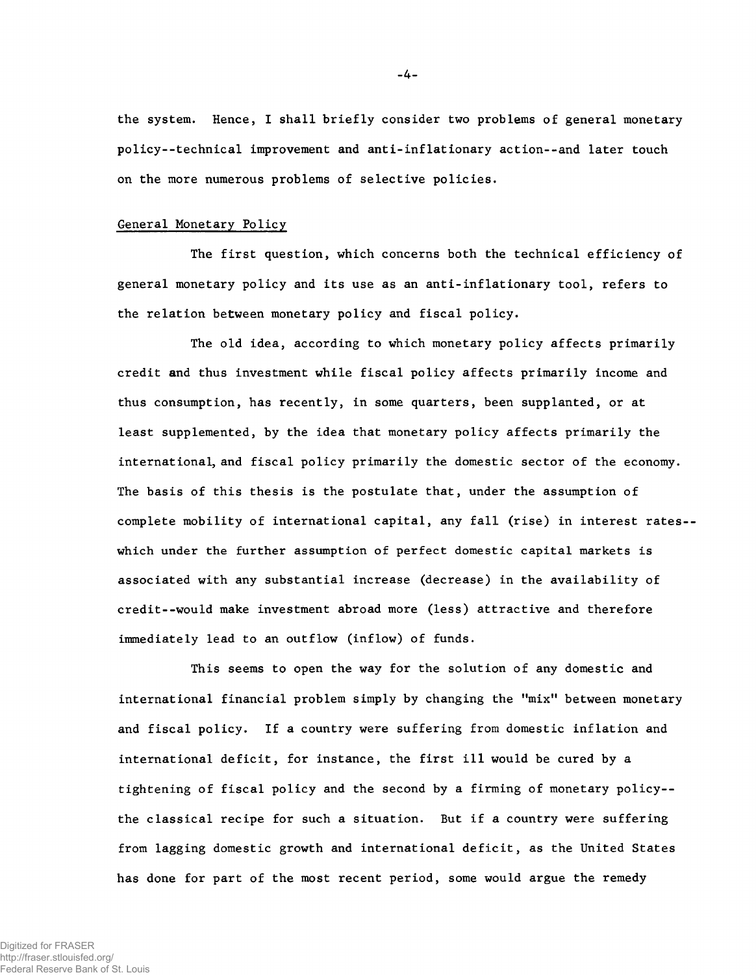the system. Hence, I shall briefly consider two problems of general monetary policy--technical improvement and anti-inflationary action--and later touch on the more numerous problems of selective policies.

## General Monetary Policy

The first question, which concerns both the technical efficiency of general monetary policy and its use as an anti-inflationary tool, refers to the relation between monetary policy and fiscal policy.

The old idea, according to which monetary policy affects primarily credit and thus investment while fiscal policy affects primarily income and thus consumption, has recently, in some quarters, been supplanted, or at least supplemented, by the idea that monetary policy affects primarily the international, and fiscal policy primarily the domestic sector of the economy. The basis of this thesis is the postulate that, under the assumption of complete mobility of international capital, any fall (rise) in interest rates- which under the further assumption of perfect domestic capital markets is associated with any substantial increase (decrease) in the availability of credit--would make investment abroad more (less) attractive and therefore immediately lead to an outflow (inflow) of funds.

This seems to open the way for the solution of any domestic and international financial problem simply by changing the "mix" between monetary and fiscal policy. If a country were suffering from domestic inflation and international deficit, for instance, the first ill would be cured by a tightening of fiscal policy and the second by a firming of monetary policy- the classical recipe for such a situation. But if a country were suffering from lagging domestic growth and international deficit, as the United States has done for part of the most recent period, some would argue the remedy

**-** 4 **-**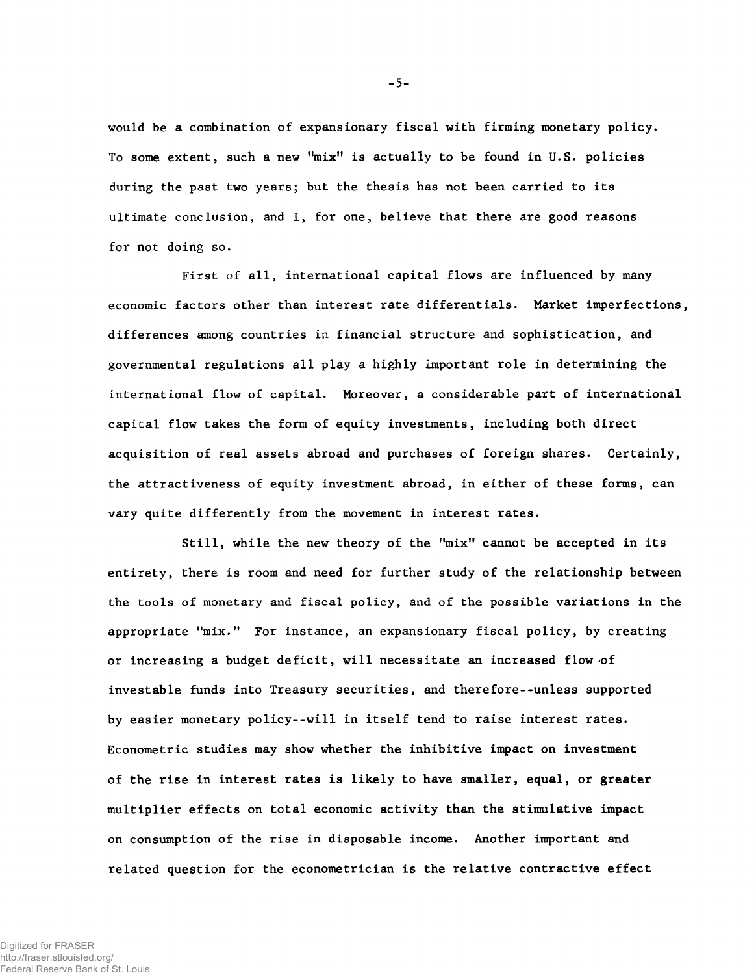would be a combination of expansionary fiscal with firming monetary policy. To some extent, such a new " $mix$ " is actually to be found in U.S. policies during the past two years; but the thesis has not been carried to its ultimate conclusion, and I, for one, believe that there are good reasons for not doing so.

First of all, international capital flows are influenced by many economic factors other than interest rate differentials. Market imperfections, differences among countries in financial structure and sophistication, and governmental regulations all play a highly important role in determining the international flow of capital. Moreover, a considerable part of international capital flow takes the form of equity investments, including both direct acquisition of real assets abroad and purchases of foreign shares. Certainly, the attractiveness of equity investment abroad, in either of these forms, can vary quite differently from the movement in interest rates.

Still, while the new theory of the "mix" cannot be accepted in its entirety, there is room and need for further study of the relationship between the tools of monetary and fiscal policy, and of the possible variations in the appropriate "mix." For instance, an expansionary fiscal policy, by creating or increasing a budget deficit, will necessitate an increased flow of investable funds into Treasury securities, and therefore--unless supported by easier monetary policy--will in itself tend to raise interest rates. Econometric studies may show whether the inhibitive impact on investment of the rise in interest rates is likely to have smaller, equal, or greater multiplier effects on total economic activity than the stimulative impact on consumption of the rise in disposable income. Another important and related question for the econometrician is the relative contractive effect

-5-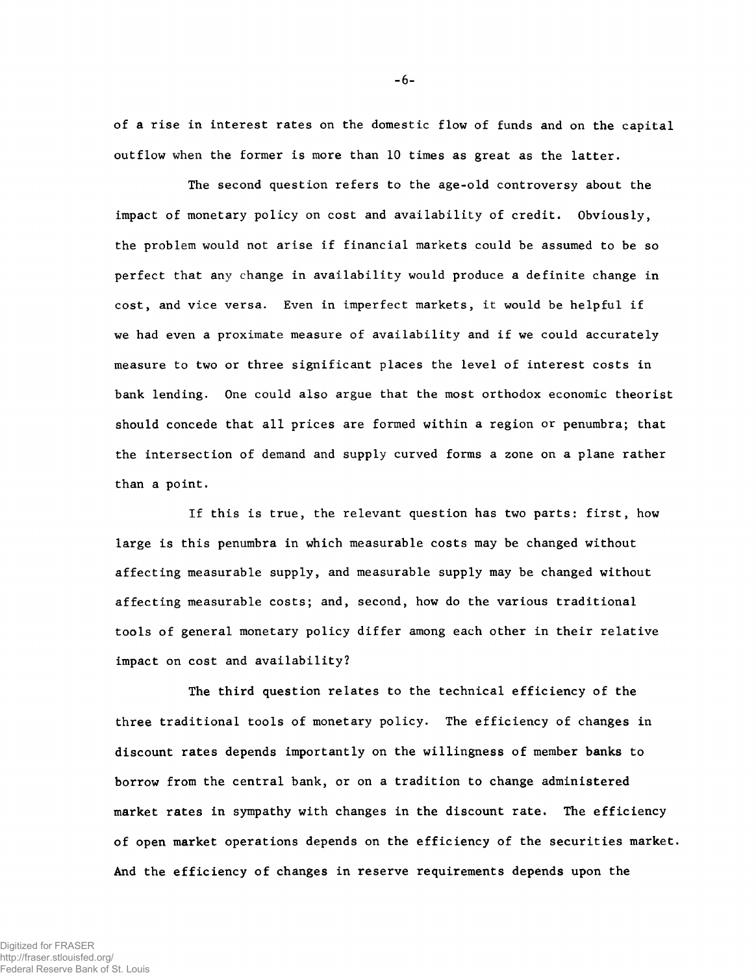of a rise in interest rates on the domestic flow of funds and on the capital outflow when the former is more than 10 times as great as the latter.

The second question refers to the age-old controversy about the impact of monetary policy on cost and availability of credit. Obviously, the problem would not arise if financial markets could be assumed to be so perfect that any change in availability would produce a definite change in cost, and vice versa. Even in imperfect markets, it would be helpful if we had even a proximate measure of availability and if we could accurately measure to two or three significant places the level of interest costs in bank lending. One could also argue that the most orthodox economic theorist should concede that all prices are formed within a region or penumbra; that the intersection of demand and supply curved forms a zone on a plane rather than a point.

If this is true, the relevant question has two parts: first, how large is this penumbra in which measurable costs may be changed without affecting measurable supply, and measurable supply may be changed without affecting measurable costs; and, second, how do the various traditional tools of general monetary policy differ among each other in their relative impact on cost and availability?

The third question relates to the technical efficiency of the three traditional tools of monetary policy. The efficiency of changes in discount rates depends importantly on the willingness of member banks to borrow from the central bank, or on a tradition to change administered market rates in sympathy with changes in the discount rate. The efficiency of open market operations depends on the efficiency of the securities market. And the efficiency of changes in reserve requirements depends upon the

Digitized for FRASER http://fraser.stlouisfed.org/ Federal Reserve Bank of St. Louis -6-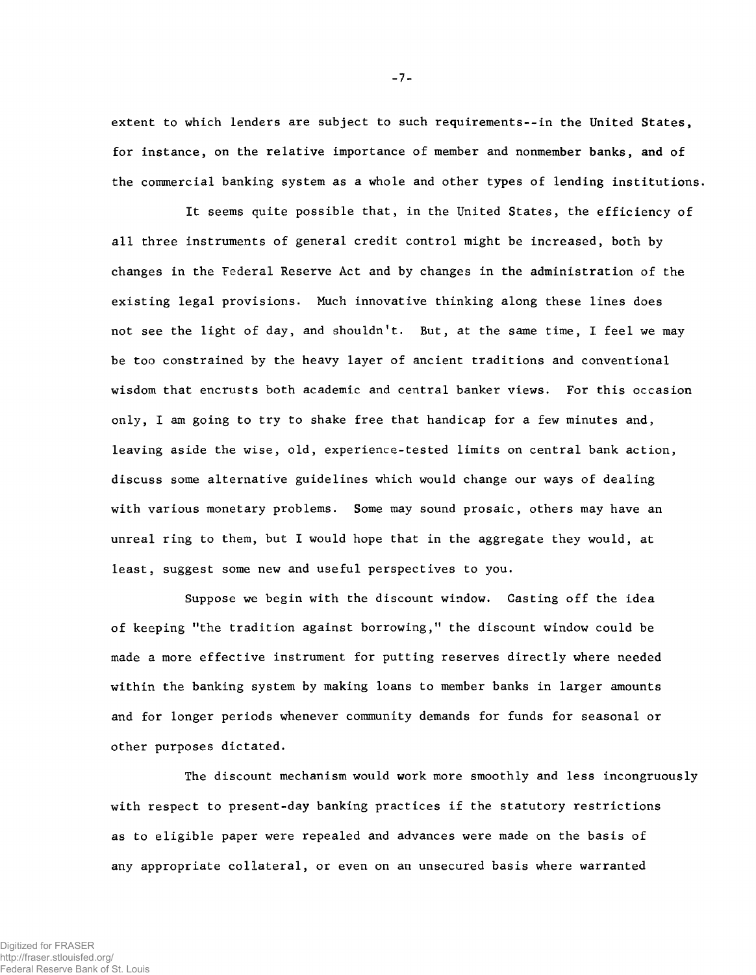extent to which lenders are subject to such requirements--in the United States, for instance, on the relative importance of member and nonmember banks, and of the commercial banking system as a whole and other types of lending institutions.

It seems quite possible that, in the United States, the efficiency of all three instruments of general credit control might be increased, both by changes in the Federal Reserve Act and by changes in the administration of the existing legal provisions. Much innovative thinking along these lines does not see the light of day, and shouldn't. But, at the same time, I feel we may be too constrained by the heavy layer of ancient traditions and conventional wisdom that encrusts both academic and central banker views. For this occasion only, I am going to try to shake free that handicap for a few minutes and, leaving aside the wise, old, experience-tested limits on central bank action, discuss some alternative guidelines which would change our ways of dealing with various monetary problems. Some may sound prosaic, others may have an unreal ring to them, but I would hope that in the aggregate they would, at least, suggest some new and useful perspectives to you.

Suppose we begin with the discount window. Casting off the idea of keeping "the tradition against borrowing," the discount window could be made a more effective instrument for putting reserves directly where needed within the banking system by making loans to member banks in larger amounts and for longer periods whenever community demands for funds for seasonal or other purposes dictated.

The discount mechanism would work more smoothly and less incongruously with respect to present-day banking practices if the statutory restrictions as to eligible paper were repealed and advances were made on the basis of any appropriate collateral, or even on an unsecured basis where warranted

Digitized for FRASER http://fraser.stlouisfed.org/ Federal Reserve Bank of St. Louis **-** 7 **-**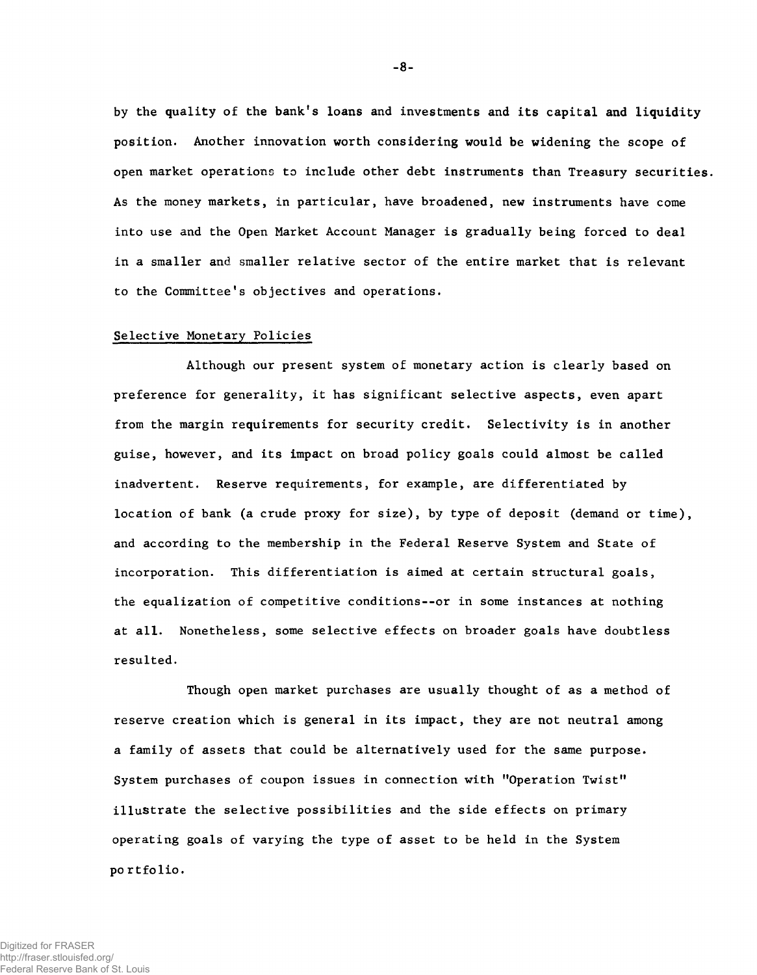by the quality of the bank's loans and investments and its capital and liquidity position. Another innovation worth considering would be widening the scope of open market operations to include other debt instruments than Treasury securities. As the money markets, in particular, have broadened, new instruments have come into use and the Open Market Account Manager is gradually being forced to deal in a smaller and smaller relative sector of the entire market that is relevant to the Committee's objectives and operations.

#### Selective Monetary Policies

Although our present system of monetary action is clearly based on preference for generality, it has significant selective aspects, even apart from the margin requirements for security credit. Selectivity is in another guise, however, and its impact on broad policy goals could almost be called inadvertent. Reserve requirements, for example, are differentiated by location of bank (a crude proxy for size), by type of deposit (demand or time), and according to the membership in the Federal Reserve System and State of incorporation. This differentiation is aimed at certain structural goals, the equalization of competitive conditions--or in some instances at nothing at all. Nonetheless, some selective effects on broader goals have doubtless resulted.

Though open market purchases are usually thought of as a method of reserve creation which is general in its impact, they are not neutral among a family of assets that could be alternatively used for the same purpose. System purchases of coupon issues in connection with "Operation Twist" illustrate the selective possibilities and the side effects on primary operating goals of varying the type of asset to be held in the System po rtfolio.

-8-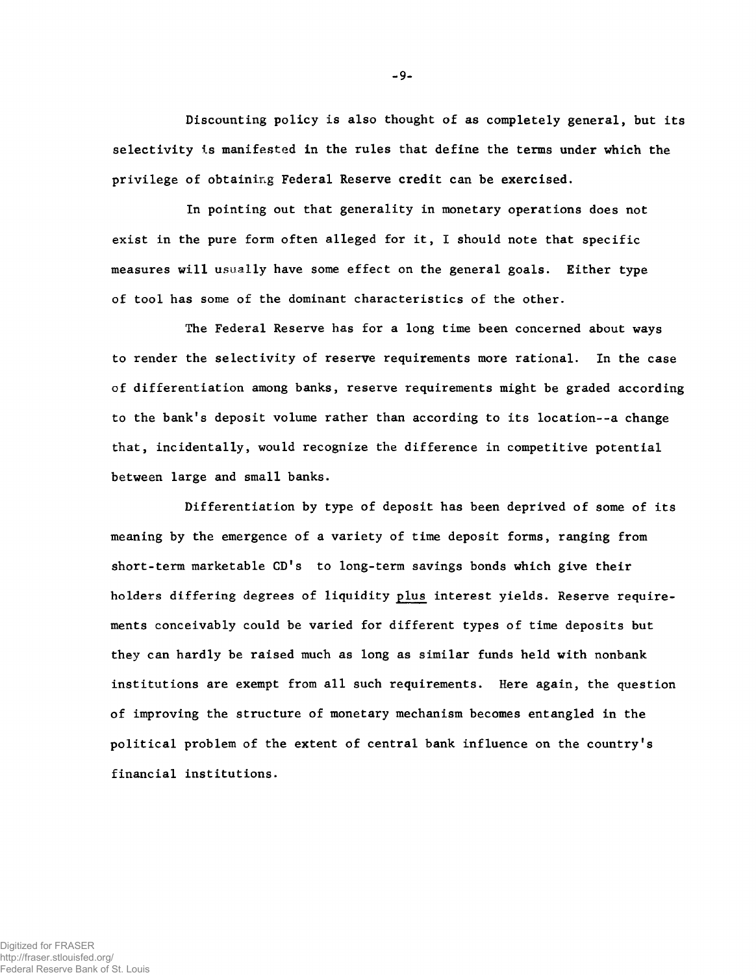Discounting policy is also thought of as completely general, but its selectivity is manifested in the rules that define the terms under which the privilege of obtaining Federal Reserve credit can be exercised.

In pointing out that generality in monetary operations does not exist in the pure form often alleged for it, I should note that specific measures will usually have some effect on the general goals. Either type of tool has some of the dominant characteristics of the other.

The Federal Reserve has for a long time been concerned about ways to render the selectivity of reserve requirements more rational. In the case of differentiation among banks, reserve requirements might be graded according to the bank's deposit volume rather than according to its location--a change that, incidentally, would recognize the difference in competitive potential between large and small banks.

Differentiation by type of deposit has been deprived of some of its meaning by the emergence of a variety of time deposit forms, ranging from short-term marketable CD's to long-term savings bonds which give their holders differing degrees of liquidity plus interest yields. Reserve requirements conceivably could be varied for different types of time deposits but they can hardly be raised much as long as similar funds held with nonbank institutions are exempt from all such requirements. Here again, the question of improving the structure of monetary mechanism becomes entangled in the political problem of the extent of central bank influence on the country's financial institutions.

**-** 9**-**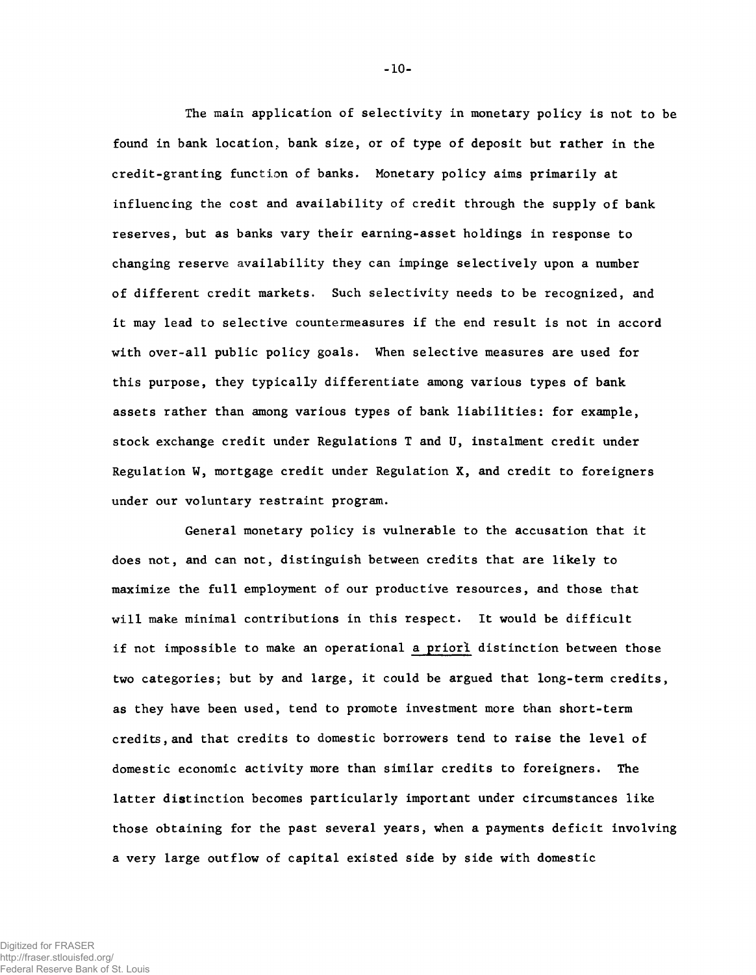The main application of selectivity in monetary policy is not to be found in bank location, bank size, or of type of deposit but rather in the credit-granting function of banks. Monetary policy aims primarily at influencing the cost and availability of credit through the supply of bank reserves, but as banks vary their earning-asset holdings in response to changing reserve availability they can impinge selectively upon a number of different credit markets. Such selectivity needs to be recognized, and it may lead to selective countermeasures if the end result is not in accord with over-all public policy goals. When selective measures are used for this purpose, they typically differentiate among various types of bank assets rather than among various types of bank liabilities: for example, stock exchange credit under Regulations T and U, instalment credit under Regulation W, mortgage credit under Regulation X, and credit to foreigners under our voluntary restraint program.

General monetary policy is vulnerable to the accusation that it does not, and can not, distinguish between credits that are likely to maximize the full employment of our productive resources, and those that will make minimal contributions in this respect. It would be difficult if not impossible to make an operational a priori distinction between those two categories; but by and large, it could be argued that long-term credits, as they have been used, tend to promote investment more than short-term credits, and that credits to domestic borrowers tend to raise the level of domestic economic activity more than similar credits to foreigners. The latter distinction becomes particularly important under circumstances like those obtaining for the past several years, when a payments deficit involving a very large outflow of capital existed side by side with domestic

-10-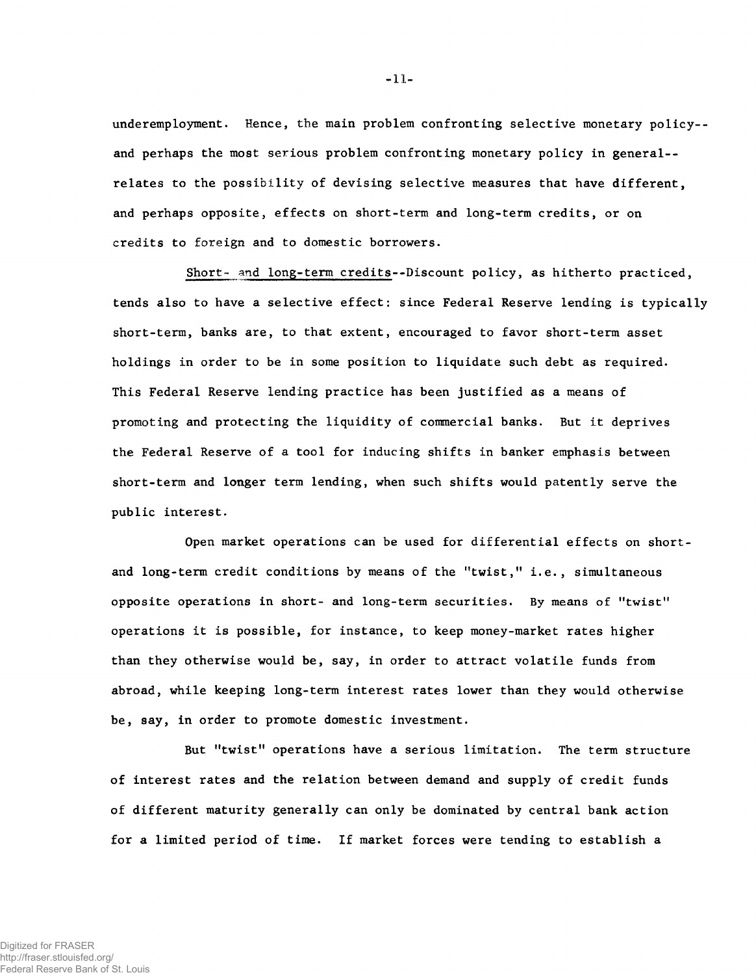underemployment. Hence, the main problem confronting selective monetary policy- and perhaps the most serious problem confronting monetary policy in general- relates to the possibility of devising selective measures that have different, and perhaps opposite, effects on short-term and long-term credits, or on credits to foreign and to domestic borrowers.

Short- and long-term credits--Discount policy, as hitherto practiced, tends also to have a selective effect: since Federal Reserve lending is typically short-term, banks are, to that extent, encouraged to favor short-term asset holdings in order to be in some position to liquidate such debt as required. This Federal Reserve lending practice has been justified as a means of promoting and protecting the liquidity of commercial banks. But it deprives the Federal Reserve of a tool for indueing shifts in banker emphasis between short-term and longer term lending, when such shifts would patently serve the public interest.

Open market operations can be used for differential effects on shortand long-term credit conditions by means of the "twist," i.e., simultaneous opposite operations in short- and long-term securities. By means of "twist" operations it is possible, for instance, to keep money-market rates higher than they otherwise would be, say, in order to attract volatile funds from abroad, while keeping long-term interest rates lower than they would otherwise be, say, in order to promote domestic investment.

But "twist" operations have a serious limitation. The term structure of interest rates and the relation between demand and supply of credit funds of different maturity generally can only be dominated by central bank action for a limited period of time. If market forces were tending to establish a

**-** 11**-**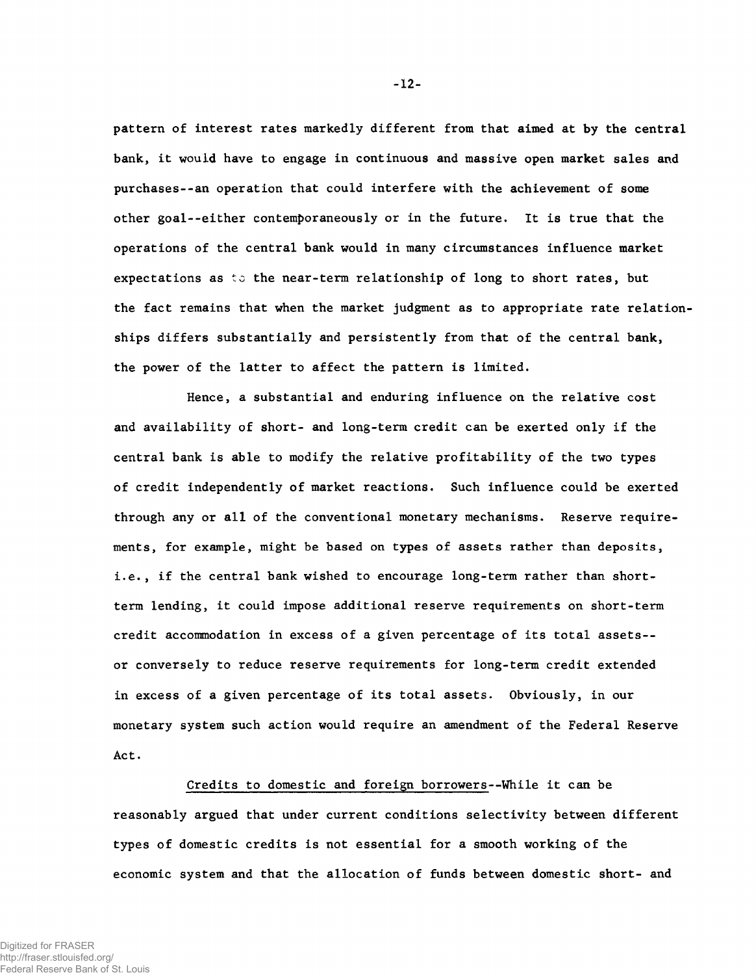pattern of interest rates markedly different from that aimed at by the central bank, it would have to engage in continuous and massive open market sales and purchases--an operation that could interfere with the achievement of some other goal--either contemporaneously or in the future. It is true that the operations of the central bank would in many circumstances influence market expectations as to the near-term relationship of long to short rates, but the fact remains that when the market judgment as to appropriate rate relationships differs substantially and persistently from that of the central bank, the power of the latter to affect the pattern is limited.

Hence, a substantial and enduring influence on the relative cost and availability of short- and long-term credit can be exerted only if the central bank is able to modify the relative profitability of the two types of credit independently of market reactions. Such influence could be exerted through any or all of the conventional monetary mechanisms. Reserve requirements, for example, might be based on types of assets rather than deposits, i.e., if the central bank wished to encourage long-term rather than shortterm lending, it could impose additional reserve requirements on short-term credit accommodation in excess of a given percentage of its total assets- or conversely to reduce reserve requirements for long-term credit extended in excess of a given percentage of its total assets. Obviously, in our monetary system such action would require an amendment of the Federal Reserve Act.

Credits to domestic and foreign borrowers--While it can be reasonably argued that under current conditions selectivity between different types of domestic credits is not essential for a smooth working of the economic system and that the allocation of funds between domestic short- and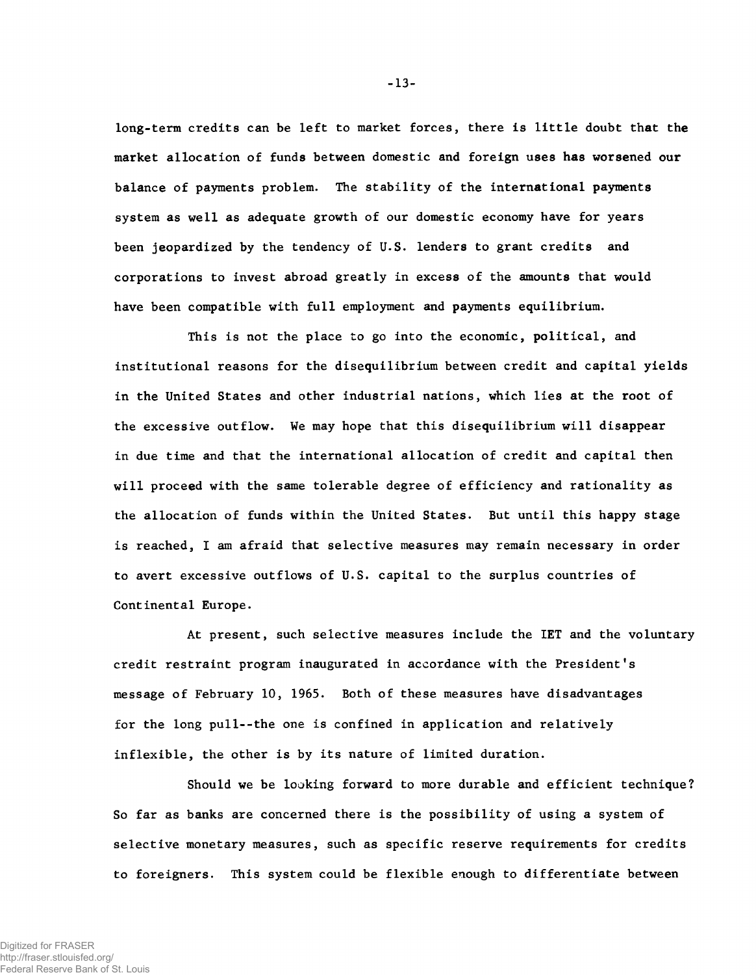long-term credits can be left to market forces, there is little doubt that the market allocation of funds between domestic and foreign uses has worsened our balance of payments problem. The stability of the international payments system as well as adequate growth of our domestic economy have for years been jeopardized by the tendency of U.S. lenders to grant credits and corporations to invest abroad greatly in excess of the amounts that would have been compatible with full employment and payments equilibrium.

This is not the place to go into the economic, political, and institutional reasons for the disequilibrium between credit and capital yields in the United States and other industrial nations, which lies at the root of the excessive outflow. We may hope that this disequilibrium will disappear in due time and that the international allocation of credit and capital then will proceed with the same tolerable degree of efficiency and rationality as the allocation of funds within the United States. But until this happy stage is reached, I am afraid that selective measures may remain necessary in order to avert excessive outflows of U.S. capital to the surplus countries of Continental Europe.

At present, such selective measures include the IET and the voluntary credit restraint program inaugurated in accordance with the President's message of February 10, 1965. Both of these measures have disadvantages for the long pull--the one is confined in application and relatively inflexible, the other is by its nature of limited duration.

Should we be looking forward to more durable and efficient technique? So far as banks are concerned there is the possibility of using a system of selective monetary measures, such as specific reserve requirements for credits to foreigners. This system could be flexible enough to differentiate between

**-** 13**-**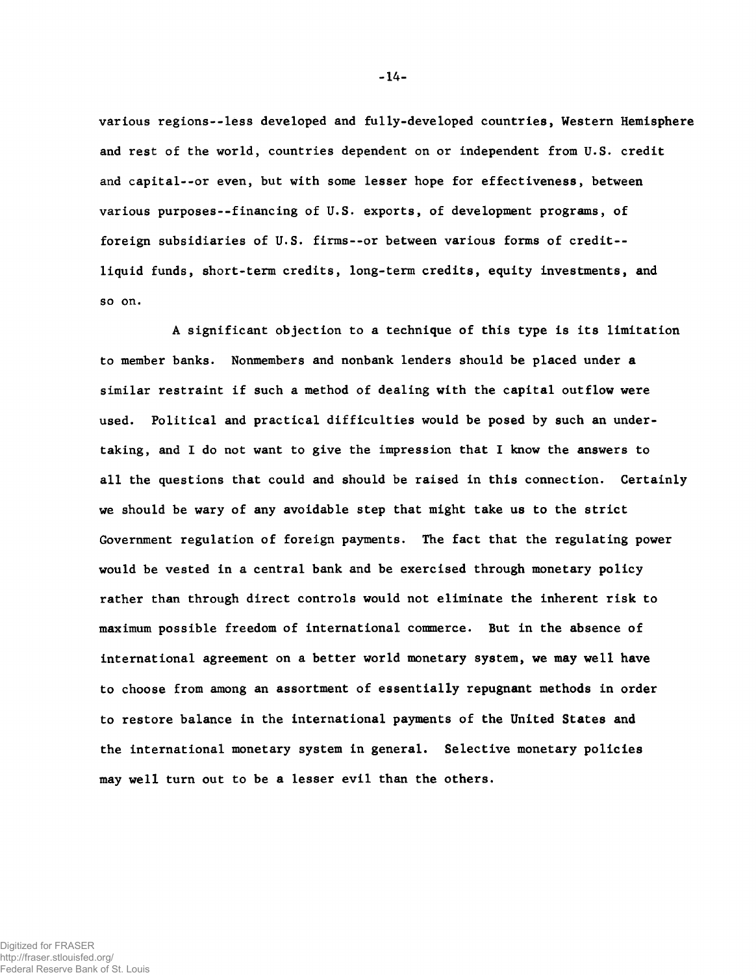various regions--less developed and fully-developed countries, Western Hemisphere and rest of the world, countries dependent on or independent from U.S. credit and capital--or even, but with some lesser hope for effectiveness, between various purposes--financing of U.S. exports, of development programs, of foreign subsidiaries of U.S. firms--or between various forms of credit- liquid funds, short-term credits, long-term credits, equity investments, and so on.

A significant objection to a technique of this type is its limitation to member banks. Nonmembers and nonbank lenders should be placed under a similar restraint if such a method of dealing with the capital outflow were used. Political and practical difficulties would be posed by such an undertaking, and I do not want to give the impression that I know the answers to all the questions that could and should be raised in this connection. Certainly we should be wary of any avoidable step that might take us to the strict Government regulation of foreign payments. The fact that the regulating power would be vested in a central bank and be exercised through monetary policy rather than through direct controls would not eliminate the inherent risk to maximum possible freedom of international commerce. But in the absence of international agreement on a better world monetary system, we may well have to choose from among an assortment of essentially repugnant methods in order to restore balance in the international payments of the United States and the international monetary system in general. Selective monetary policies may well turn out to be a lesser evil than the others.

-14-